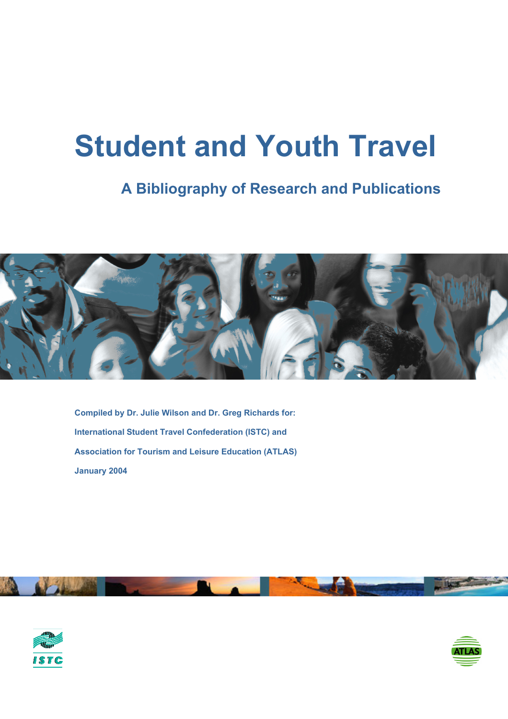# **Student and Youth Travel**

# **A Bibliography of Research and Publications**



**Compiled by Dr. Julie Wilson and Dr. Greg Richards for: International Student Travel Confederation (ISTC) and Association for Tourism and Leisure Education (ATLAS)) January 2004** 





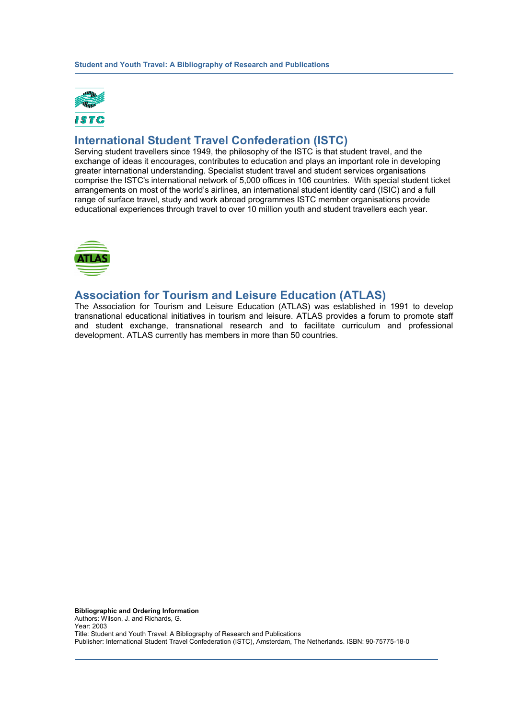

# **International Student Travel Confederation (ISTC)**

Serving student travellers since 1949, the philosophy of the ISTC is that student travel, and the exchange of ideas it encourages, contributes to education and plays an important role in developing greater international understanding. Specialist student travel and student services organisations comprise the ISTC's international network of 5,000 offices in 106 countries. With special student ticket arrangements on most of the world's airlines, an international student identity card (ISIC) and a full range of surface travel, study and work abroad programmes ISTC member organisations provide educational experiences through travel to over 10 million youth and student travellers each year.



# **Association for Tourism and Leisure Education (ATLAS)**

The Association for Tourism and Leisure Education (ATLAS) was established in 1991 to develop transnational educational initiatives in tourism and leisure. ATLAS provides a forum to promote staff and student exchange, transnational research and to facilitate curriculum and professional development. ATLAS currently has members in more than 50 countries.

**Bibliographic and Ordering Information**  Authors: Wilson, J. and Richards, G. Year: 2003 Title: Student and Youth Travel: A Bibliography of Research and Publications Publisher: International Student Travel Confederation (ISTC), Amsterdam, The Netherlands. ISBN: 90-75775-18-0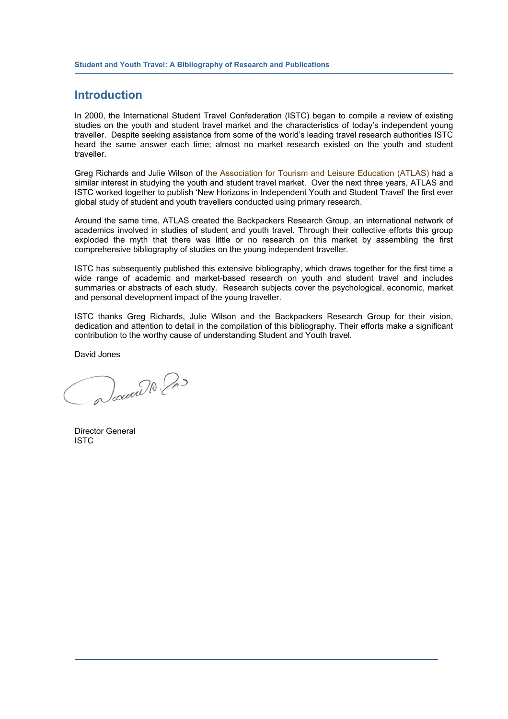## **Introduction**

In 2000, the International Student Travel Confederation (ISTC) began to compile a review of existing studies on the youth and student travel market and the characteristics of today's independent young traveller. Despite seeking assistance from some of the world's leading travel research authorities ISTC heard the same answer each time; almost no market research existed on the youth and student traveller.

Greg Richards and Julie Wilson of the Association for Tourism and Leisure Education (ATLAS) had a similar interest in studying the youth and student travel market. Over the next three years, ATLAS and ISTC worked together to publish 'New Horizons in Independent Youth and Student Travel' the first ever global study of student and youth travellers conducted using primary research.

Around the same time, ATLAS created the Backpackers Research Group, an international network of academics involved in studies of student and youth travel. Through their collective efforts this group exploded the myth that there was little or no research on this market by assembling the first comprehensive bibliography of studies on the young independent traveller.

ISTC has subsequently published this extensive bibliography, which draws together for the first time a wide range of academic and market-based research on youth and student travel and includes summaries or abstracts of each study. Research subjects cover the psychological, economic, market and personal development impact of the young traveller.

ISTC thanks Greg Richards, Julie Wilson and the Backpackers Research Group for their vision, dedication and attention to detail in the compilation of this bibliography. Their efforts make a significant contribution to the worthy cause of understanding Student and Youth travel.

David Jones

Documber 200

Director General ISTC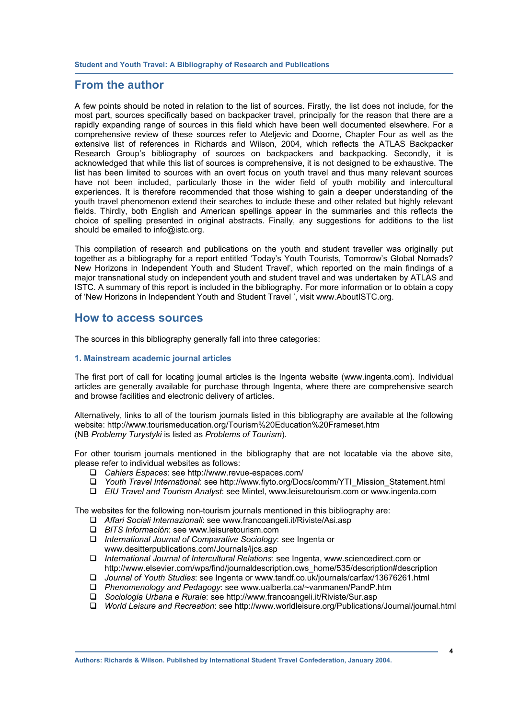# **From the author**

A few points should be noted in relation to the list of sources. Firstly, the list does not include, for the most part, sources specifically based on backpacker travel, principally for the reason that there are a rapidly expanding range of sources in this field which have been well documented elsewhere. For a comprehensive review of these sources refer to Ateljevic and Doorne, Chapter Four as well as the extensive list of references in Richards and Wilson, 2004, which reflects the ATLAS Backpacker Research Group's bibliography of sources on backpackers and backpacking. Secondly, it is acknowledged that while this list of sources is comprehensive, it is not designed to be exhaustive. The list has been limited to sources with an overt focus on youth travel and thus many relevant sources have not been included, particularly those in the wider field of youth mobility and intercultural experiences. It is therefore recommended that those wishing to gain a deeper understanding of the youth travel phenomenon extend their searches to include these and other related but highly relevant fields. Thirdly, both English and American spellings appear in the summaries and this reflects the choice of spelling presented in original abstracts. Finally, any suggestions for additions to the list should be emailed to info@istc.org.

This compilation of research and publications on the youth and student traveller was originally put together as a bibliography for a report entitled 'Today's Youth Tourists, Tomorrow's Global Nomads? New Horizons in Independent Youth and Student Travel', which reported on the main findings of a major transnational study on independent youth and student travel and was undertaken by ATLAS and ISTC. A summary of this report is included in the bibliography. For more information or to obtain a copy of 'New Horizons in Independent Youth and Student Travel ', visit www.AboutISTC.org.

### **How to access sources**

The sources in this bibliography generally fall into three categories:

#### **1. Mainstream academic journal articles**

The first port of call for locating journal articles is the Ingenta website (www.ingenta.com). Individual articles are generally available for purchase through Ingenta, where there are comprehensive search and browse facilities and electronic delivery of articles.

Alternatively, links to all of the tourism journals listed in this bibliography are available at the following website: http://www.tourismeducation.org/Tourism%20Education%20Frameset.htm (NB *Problemy Turystyki* is listed as *Problems of Tourism*).

For other tourism journals mentioned in the bibliography that are not locatable via the above site, please refer to individual websites as follows:

- *Cahiers Espaces*: see http://www.revue-espaces.com/
- *Youth Travel International*: see http://www.fiyto.org/Docs/comm/YTI\_Mission\_Statement.html
- *EIU Travel and Tourism Analyst*: see Mintel, www.leisuretourism.com or www.ingenta.com

The websites for the following non-tourism journals mentioned in this bibliography are:

- *Affari Sociali Internazionali*: see www.francoangeli.it/Riviste/Asi.asp
- *BITS Información*: see www.leisuretourism.com
- *International Journal of Comparative Sociology*: see Ingenta or www.desitterpublications.com/Journals/ijcs.asp
- *International Journal of Intercultural Relations*: see Ingenta, www.sciencedirect.com or http://www.elsevier.com/wps/find/journaldescription.cws\_home/535/description#description
- *Journal of Youth Studies*: see Ingenta or www.tandf.co.uk/journals/carfax/13676261.html
- *Phenomenology and Pedagogy*: see www.ualberta.ca/~vanmanen/PandP.htm
- *Sociologia Urbana e Rurale*: see http://www.francoangeli.it/Riviste/Sur.asp
- *World Leisure and Recreation*: see http://www.worldleisure.org/Publications/Journal/journal.html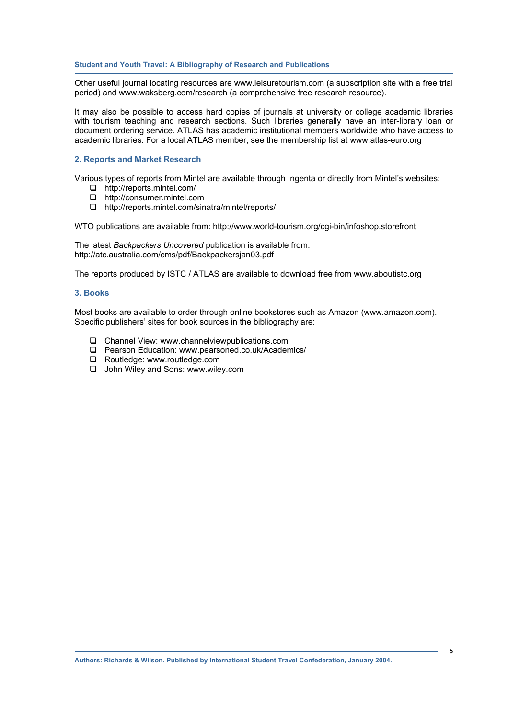Other useful journal locating resources are www.leisuretourism.com (a subscription site with a free trial period) and www.waksberg.com/research (a comprehensive free research resource).

It may also be possible to access hard copies of journals at university or college academic libraries with tourism teaching and research sections. Such libraries generally have an inter-library loan or document ordering service. ATLAS has academic institutional members worldwide who have access to academic libraries. For a local ATLAS member, see the membership list at www.atlas-euro.org

#### **2. Reports and Market Research**

Various types of reports from Mintel are available through Ingenta or directly from Mintel's websites:

- □ http://reports.mintel.com/
- http://consumer.mintel.com
- http://reports.mintel.com/sinatra/mintel/reports/

WTO publications are available from: http://www.world-tourism.org/cgi-bin/infoshop.storefront

The latest *Backpackers Uncovered* publication is available from: http://atc.australia.com/cms/pdf/Backpackersjan03.pdf

The reports produced by ISTC / ATLAS are available to download free from www.aboutistc.org

#### **3. Books**

Most books are available to order through online bookstores such as Amazon (www.amazon.com). Specific publishers' sites for book sources in the bibliography are:

- Channel View: www.channelviewpublications.com
- Pearson Education: www.pearsoned.co.uk/Academics/
- □ Routledge: www.routledge.com
- □ John Wiley and Sons: www.wiley.com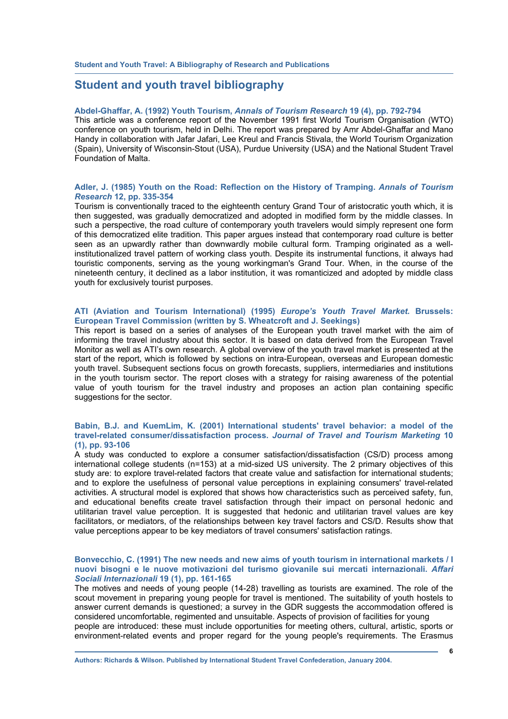# **Student and youth travel bibliography**

#### **Abdel-Ghaffar, A. (1992) Youth Tourism,** *Annals of Tourism Research* **19 (4), pp. 792-794**

This article was a conference report of the November 1991 first World Tourism Organisation (WTO) conference on youth tourism, held in Delhi. The report was prepared by Amr Abdel-Ghaffar and Mano Handy in collaboration with Jafar Jafari, Lee Kreul and Francis Stivala, the World Tourism Organization (Spain), University of Wisconsin-Stout (USA), Purdue University (USA) and the National Student Travel Foundation of Malta.

#### **Adler, J. (1985) Youth on the Road: Reflection on the History of Tramping.** *Annals of Tourism Research* **12, pp. 335-354**

Tourism is conventionally traced to the eighteenth century Grand Tour of aristocratic youth which, it is then suggested, was gradually democratized and adopted in modified form by the middle classes. In such a perspective, the road culture of contemporary youth travelers would simply represent one form of this democratized elite tradition. This paper argues instead that contemporary road culture is better seen as an upwardly rather than downwardly mobile cultural form. Tramping originated as a wellinstitutionalized travel pattern of working class youth. Despite its instrumental functions, it always had touristic components, serving as the young workingman's Grand Tour. When, in the course of the nineteenth century, it declined as a labor institution, it was romanticized and adopted by middle class youth for exclusively tourist purposes.

#### **ATI (Aviation and Tourism International) (1995)** *Europe's Youth Travel Market.* **Brussels: European Travel Commission (written by S. Wheatcroft and J. Seekings)**

This report is based on a series of analyses of the European youth travel market with the aim of informing the travel industry about this sector. It is based on data derived from the European Travel Monitor as well as ATI's own research. A global overview of the youth travel market is presented at the start of the report, which is followed by sections on intra-European, overseas and European domestic youth travel. Subsequent sections focus on growth forecasts, suppliers, intermediaries and institutions in the youth tourism sector. The report closes with a strategy for raising awareness of the potential value of youth tourism for the travel industry and proposes an action plan containing specific suggestions for the sector.

#### **Babin, B.J. and KuemLim, K. (2001) International students' travel behavior: a model of the travel-related consumer/dissatisfaction process.** *Journal of Travel and Tourism Marketing* **10 (1), pp. 93-106**

A study was conducted to explore a consumer satisfaction/dissatisfaction (CS/D) process among international college students (n=153) at a mid-sized US university. The 2 primary objectives of this study are: to explore travel-related factors that create value and satisfaction for international students; and to explore the usefulness of personal value perceptions in explaining consumers' travel-related activities. A structural model is explored that shows how characteristics such as perceived safety, fun, and educational benefits create travel satisfaction through their impact on personal hedonic and utilitarian travel value perception. It is suggested that hedonic and utilitarian travel values are key facilitators, or mediators, of the relationships between key travel factors and CS/D. Results show that value perceptions appear to be key mediators of travel consumers' satisfaction ratings.

#### **Bonvecchio, C. (1991) The new needs and new aims of youth tourism in international markets / I nuovi bisogni e le nuove motivazioni del turismo giovanile sui mercati internazionali.** *Affari Sociali Internazionali* **19 (1), pp. 161-165**

The motives and needs of young people (14-28) travelling as tourists are examined. The role of the scout movement in preparing young people for travel is mentioned. The suitability of youth hostels to answer current demands is questioned; a survey in the GDR suggests the accommodation offered is considered uncomfortable, regimented and unsuitable. Aspects of provision of facilities for young people are introduced: these must include opportunities for meeting others, cultural, artistic, sports or environment-related events and proper regard for the young people's requirements. The Erasmus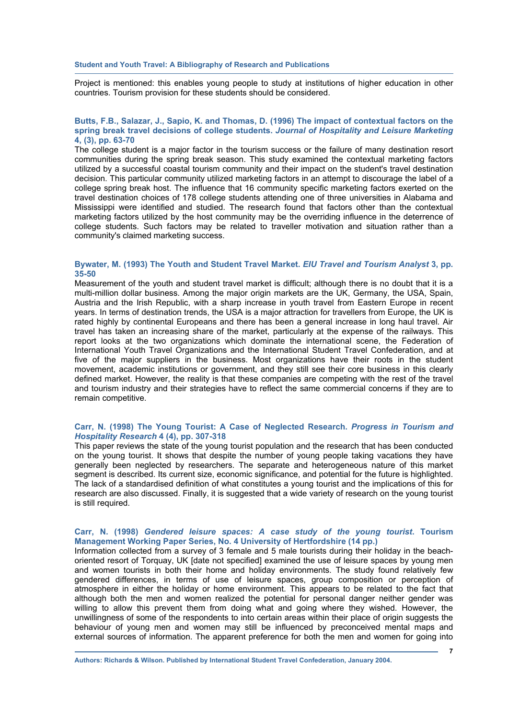Project is mentioned: this enables young people to study at institutions of higher education in other countries. Tourism provision for these students should be considered.

#### **Butts, F.B., Salazar, J., Sapio, K. and Thomas, D. (1996) The impact of contextual factors on the spring break travel decisions of college students.** *Journal of Hospitality and Leisure Marketing* **4, (3), pp. 63-70**

The college student is a major factor in the tourism success or the failure of many destination resort communities during the spring break season. This study examined the contextual marketing factors utilized by a successful coastal tourism community and their impact on the student's travel destination decision. This particular community utilized marketing factors in an attempt to discourage the label of a college spring break host. The influence that 16 community specific marketing factors exerted on the travel destination choices of 178 college students attending one of three universities in Alabama and Mississippi were identified and studied. The research found that factors other than the contextual marketing factors utilized by the host community may be the overriding influence in the deterrence of college students. Such factors may be related to traveller motivation and situation rather than a community's claimed marketing success.

#### **Bywater, M. (1993) The Youth and Student Travel Market.** *EIU Travel and Tourism Analyst* **3, pp. 35-50**

Measurement of the youth and student travel market is difficult; although there is no doubt that it is a multi-million dollar business. Among the major origin markets are the UK, Germany, the USA, Spain, Austria and the Irish Republic, with a sharp increase in youth travel from Eastern Europe in recent years. In terms of destination trends, the USA is a major attraction for travellers from Europe, the UK is rated highly by continental Europeans and there has been a general increase in long haul travel. Air travel has taken an increasing share of the market, particularly at the expense of the railways. This report looks at the two organizations which dominate the international scene, the Federation of International Youth Travel Organizations and the International Student Travel Confederation, and at five of the major suppliers in the business. Most organizations have their roots in the student movement, academic institutions or government, and they still see their core business in this clearly defined market. However, the reality is that these companies are competing with the rest of the travel and tourism industry and their strategies have to reflect the same commercial concerns if they are to remain competitive.

#### **Carr, N. (1998) The Young Tourist: A Case of Neglected Research.** *Progress in Tourism and Hospitality Research* **4 (4), pp. 307-318**

This paper reviews the state of the young tourist population and the research that has been conducted on the young tourist. It shows that despite the number of young people taking vacations they have generally been neglected by researchers. The separate and heterogeneous nature of this market segment is described. Its current size, economic significance, and potential for the future is highlighted. The lack of a standardised definition of what constitutes a young tourist and the implications of this for research are also discussed. Finally, it is suggested that a wide variety of research on the young tourist is still required.

#### **Carr, N. (1998)** *Gendered leisure spaces: A case study of the young tourist***. Tourism Management Working Paper Series, No. 4 University of Hertfordshire (14 pp.)**

Information collected from a survey of 3 female and 5 male tourists during their holiday in the beachoriented resort of Torquay, UK [date not specified] examined the use of leisure spaces by young men and women tourists in both their home and holiday environments. The study found relatively few gendered differences, in terms of use of leisure spaces, group composition or perception of atmosphere in either the holiday or home environment. This appears to be related to the fact that although both the men and women realized the potential for personal danger neither gender was willing to allow this prevent them from doing what and going where they wished. However, the unwillingness of some of the respondents to into certain areas within their place of origin suggests the behaviour of young men and women may still be influenced by preconceived mental maps and external sources of information. The apparent preference for both the men and women for going into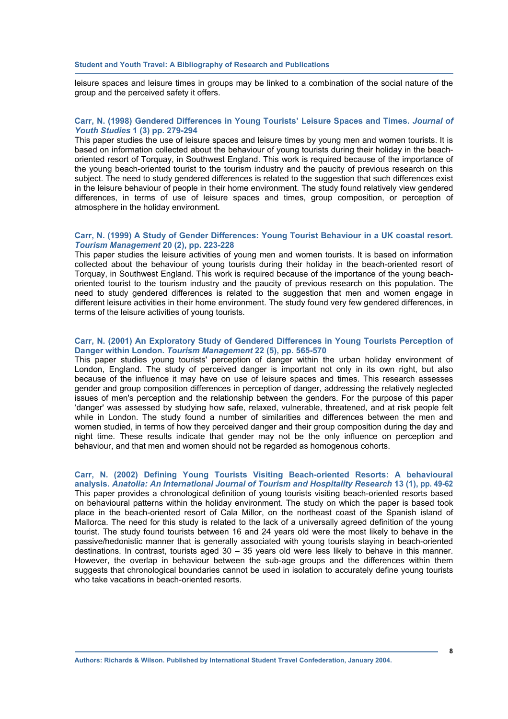leisure spaces and leisure times in groups may be linked to a combination of the social nature of the group and the perceived safety it offers.

#### **Carr, N. (1998) Gendered Differences in Young Tourists' Leisure Spaces and Times.** *Journal of Youth Studies* **1 (3) pp. 279-294**

This paper studies the use of leisure spaces and leisure times by young men and women tourists. It is based on information collected about the behaviour of young tourists during their holiday in the beachoriented resort of Torquay, in Southwest England. This work is required because of the importance of the young beach-oriented tourist to the tourism industry and the paucity of previous research on this subject. The need to study gendered differences is related to the suggestion that such differences exist in the leisure behaviour of people in their home environment. The study found relatively view gendered differences, in terms of use of leisure spaces and times, group composition, or perception of atmosphere in the holiday environment.

#### **Carr, N. (1999) A Study of Gender Differences: Young Tourist Behaviour in a UK coastal resort.**  *Tourism Management* **20 (2), pp. 223-228**

This paper studies the leisure activities of young men and women tourists. It is based on information collected about the behaviour of young tourists during their holiday in the beach-oriented resort of Torquay, in Southwest England. This work is required because of the importance of the young beachoriented tourist to the tourism industry and the paucity of previous research on this population. The need to study gendered differences is related to the suggestion that men and women engage in different leisure activities in their home environment. The study found very few gendered differences, in terms of the leisure activities of young tourists.

#### **Carr, N. (2001) An Exploratory Study of Gendered Differences in Young Tourists Perception of Danger within London.** *Tourism Management* **22 (5), pp. 565-570**

This paper studies young tourists' perception of danger within the urban holiday environment of London, England. The study of perceived danger is important not only in its own right, but also because of the influence it may have on use of leisure spaces and times. This research assesses gender and group composition differences in perception of danger, addressing the relatively neglected issues of men's perception and the relationship between the genders. For the purpose of this paper 'danger' was assessed by studying how safe, relaxed, vulnerable, threatened, and at risk people felt while in London. The study found a number of similarities and differences between the men and women studied, in terms of how they perceived danger and their group composition during the day and night time. These results indicate that gender may not be the only influence on perception and behaviour, and that men and women should not be regarded as homogenous cohorts.

#### **Carr, N. (2002) Defining Young Tourists Visiting Beach-oriented Resorts: A behavioural analysis.** *Anatolia: An International Journal of Tourism and Hospitality Research* **13 (1), pp. 49-62**  This paper provides a chronological definition of young tourists visiting beach-oriented resorts based on behavioural patterns within the holiday environment. The study on which the paper is based took place in the beach-oriented resort of Cala Millor, on the northeast coast of the Spanish island of Mallorca. The need for this study is related to the lack of a universally agreed definition of the young tourist. The study found tourists between 16 and 24 years old were the most likely to behave in the passive/hedonistic manner that is generally associated with young tourists staying in beach-oriented destinations. In contrast, tourists aged 30 – 35 years old were less likely to behave in this manner. However, the overlap in behaviour between the sub-age groups and the differences within them suggests that chronological boundaries cannot be used in isolation to accurately define young tourists who take vacations in beach-oriented resorts.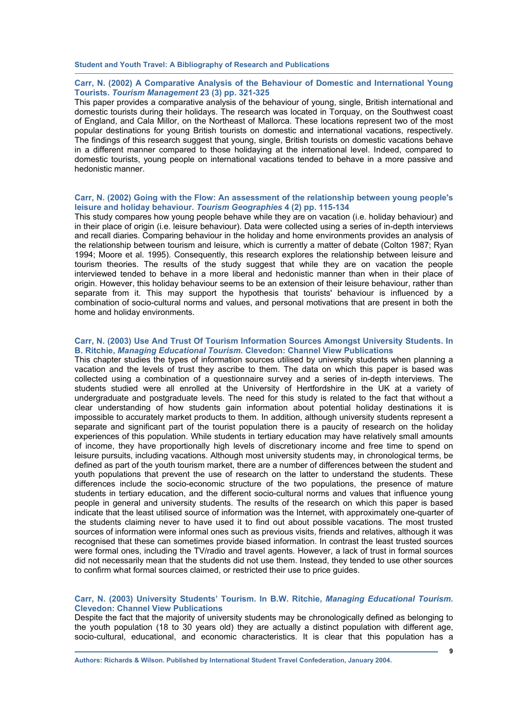#### **Carr, N. (2002) A Comparative Analysis of the Behaviour of Domestic and International Young Tourists.** *Tourism Management* **23 (3) pp. 321-325**

This paper provides a comparative analysis of the behaviour of young, single, British international and domestic tourists during their holidays. The research was located in Torquay, on the Southwest coast of England, and Cala Millor, on the Northeast of Mallorca. These locations represent two of the most popular destinations for young British tourists on domestic and international vacations, respectively. The findings of this research suggest that young, single, British tourists on domestic vacations behave in a different manner compared to those holidaying at the international level. Indeed, compared to domestic tourists, young people on international vacations tended to behave in a more passive and hedonistic manner.

#### **Carr, N. (2002) Going with the Flow: An assessment of the relationship between young people's leisure and holiday behaviour.** *Tourism Geographies* **4 (2) pp. 115-134**

This study compares how young people behave while they are on vacation (i.e. holiday behaviour) and in their place of origin (i.e. leisure behaviour). Data were collected using a series of in-depth interviews and recall diaries. Comparing behaviour in the holiday and home environments provides an analysis of the relationship between tourism and leisure, which is currently a matter of debate (Colton 1987; Ryan 1994; Moore et al. 1995). Consequently, this research explores the relationship between leisure and tourism theories. The results of the study suggest that while they are on vacation the people interviewed tended to behave in a more liberal and hedonistic manner than when in their place of origin. However, this holiday behaviour seems to be an extension of their leisure behaviour, rather than separate from it. This may support the hypothesis that tourists' behaviour is influenced by a combination of socio-cultural norms and values, and personal motivations that are present in both the home and holiday environments.

#### **Carr, N. (2003) Use And Trust Of Tourism Information Sources Amongst University Students. In B. Ritchie,** *Managing Educational Tourism.* **Clevedon: Channel View Publications**

This chapter studies the types of information sources utilised by university students when planning a vacation and the levels of trust they ascribe to them. The data on which this paper is based was collected using a combination of a questionnaire survey and a series of in-depth interviews. The students studied were all enrolled at the University of Hertfordshire in the UK at a variety of undergraduate and postgraduate levels. The need for this study is related to the fact that without a clear understanding of how students gain information about potential holiday destinations it is impossible to accurately market products to them. In addition, although university students represent a separate and significant part of the tourist population there is a paucity of research on the holiday experiences of this population. While students in tertiary education may have relatively small amounts of income, they have proportionally high levels of discretionary income and free time to spend on leisure pursuits, including vacations. Although most university students may, in chronological terms, be defined as part of the youth tourism market, there are a number of differences between the student and youth populations that prevent the use of research on the latter to understand the students. These differences include the socio-economic structure of the two populations, the presence of mature students in tertiary education, and the different socio-cultural norms and values that influence young people in general and university students. The results of the research on which this paper is based indicate that the least utilised source of information was the Internet, with approximately one-quarter of the students claiming never to have used it to find out about possible vacations. The most trusted sources of information were informal ones such as previous visits, friends and relatives, although it was recognised that these can sometimes provide biased information. In contrast the least trusted sources were formal ones, including the TV/radio and travel agents. However, a lack of trust in formal sources did not necessarily mean that the students did not use them. Instead, they tended to use other sources to confirm what formal sources claimed, or restricted their use to price guides.

#### **Carr, N. (2003) University Students' Tourism. In B.W. Ritchie,** *Managing Educational Tourism.* **Clevedon: Channel View Publications**

Despite the fact that the majority of university students may be chronologically defined as belonging to the youth population (18 to 30 years old) they are actually a distinct population with different age, socio-cultural, educational, and economic characteristics. It is clear that this population has a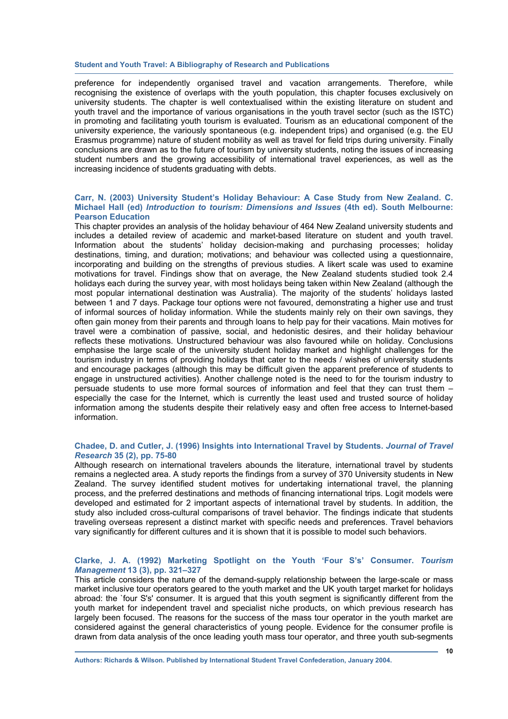preference for independently organised travel and vacation arrangements. Therefore, while recognising the existence of overlaps with the youth population, this chapter focuses exclusively on university students. The chapter is well contextualised within the existing literature on student and youth travel and the importance of various organisations in the youth travel sector (such as the ISTC) in promoting and facilitating youth tourism is evaluated. Tourism as an educational component of the university experience, the variously spontaneous (e.g. independent trips) and organised (e.g. the EU Erasmus programme) nature of student mobility as well as travel for field trips during university. Finally conclusions are drawn as to the future of tourism by university students, noting the issues of increasing student numbers and the growing accessibility of international travel experiences, as well as the increasing incidence of students graduating with debts.

#### **Carr, N. (2003) University Student's Holiday Behaviour: A Case Study from New Zealand. C. Michael Hall (ed)** *Introduction to tourism: Dimensions and Issues* **(4th ed). South Melbourne: Pearson Education**

This chapter provides an analysis of the holiday behaviour of 464 New Zealand university students and includes a detailed review of academic and market-based literature on student and youth travel. Information about the students' holiday decision-making and purchasing processes; holiday destinations, timing, and duration; motivations; and behaviour was collected using a questionnaire, incorporating and building on the strengths of previous studies. A likert scale was used to examine motivations for travel. Findings show that on average, the New Zealand students studied took 2.4 holidays each during the survey year, with most holidays being taken within New Zealand (although the most popular international destination was Australia). The majority of the students' holidays lasted between 1 and 7 days. Package tour options were not favoured, demonstrating a higher use and trust of informal sources of holiday information. While the students mainly rely on their own savings, they often gain money from their parents and through loans to help pay for their vacations. Main motives for travel were a combination of passive, social, and hedonistic desires, and their holiday behaviour reflects these motivations. Unstructured behaviour was also favoured while on holiday. Conclusions emphasise the large scale of the university student holiday market and highlight challenges for the tourism industry in terms of providing holidays that cater to the needs / wishes of university students and encourage packages (although this may be difficult given the apparent preference of students to engage in unstructured activities). Another challenge noted is the need to for the tourism industry to persuade students to use more formal sources of information and feel that they can trust them – especially the case for the Internet, which is currently the least used and trusted source of holiday information among the students despite their relatively easy and often free access to Internet-based information.

#### **Chadee, D. and Cutler, J. (1996) Insights into International Travel by Students.** *Journal of Travel Research* **35 (2), pp. 75-80**

Although research on international travelers abounds the literature, international travel by students remains a neglected area. A study reports the findings from a survey of 370 University students in New Zealand. The survey identified student motives for undertaking international travel, the planning process, and the preferred destinations and methods of financing international trips. Logit models were developed and estimated for 2 important aspects of international travel by students. In addition, the study also included cross-cultural comparisons of travel behavior. The findings indicate that students traveling overseas represent a distinct market with specific needs and preferences. Travel behaviors vary significantly for different cultures and it is shown that it is possible to model such behaviors.

#### **Clarke, J. A. (1992) Marketing Spotlight on the Youth 'Four S's' Consumer.** *Tourism Management* **13 (3), pp. 321–327**

This article considers the nature of the demand-supply relationship between the large-scale or mass market inclusive tour operators geared to the youth market and the UK youth target market for holidays abroad: the `four S's' consumer. It is argued that this youth segment is significantly different from the youth market for independent travel and specialist niche products, on which previous research has largely been focused. The reasons for the success of the mass tour operator in the youth market are considered against the general characteristics of young people. Evidence for the consumer profile is drawn from data analysis of the once leading youth mass tour operator, and three youth sub-segments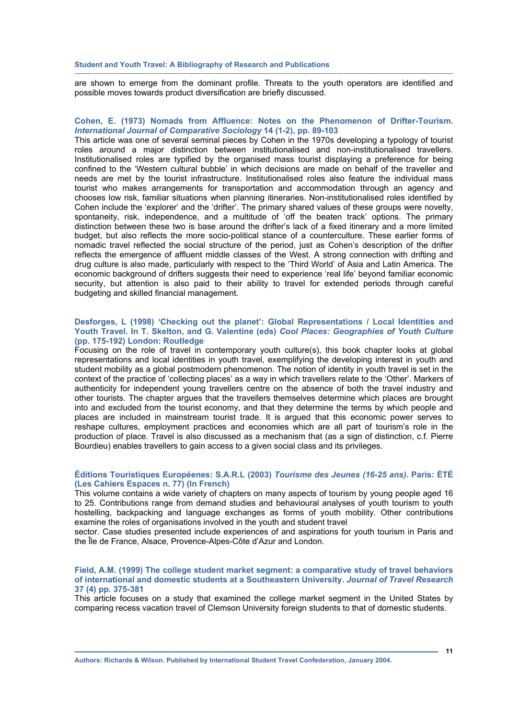are shown to emerge from the dominant profile. Threats to the youth operators are identified and possible moves towards product diversification are briefly discussed.

#### **Cohen, E. (1973) Nomads from Affluence: Notes on the Phenomenon of Drifter-Tourism.**  *International Journal of Comparative Sociology* **14 (1-2), pp. 89-103**

This article was one of several seminal pieces by Cohen in the 1970s developing a typology of tourist roles around a major distinction between institutionalised and non-institutionalised travellers. Institutionalised roles are typified by the organised mass tourist displaying a preference for being confined to the 'Western cultural bubble' in which decisions are made on behalf of the traveller and needs are met by the tourist infrastructure. Institutionalised roles also feature the individual mass tourist who makes arrangements for transportation and accommodation through an agency and chooses low risk, familiar situations when planning itineraries. Non-institutionalised roles identified by Cohen include the 'explorer' and the 'drifter'. The primary shared values of these groups were novelty, spontaneity, risk, independence, and a multitude of 'off the beaten track' options. The primary distinction between these two is base around the drifter's lack of a fixed itinerary and a more limited budget, but also reflects the more socio-political stance of a counterculture. These earlier forms of nomadic travel reflected the social structure of the period, just as Cohen's description of the drifter reflects the emergence of affluent middle classes of the West. A strong connection with drifting and drug culture is also made, particularly with respect to the 'Third World' of Asia and Latin America. The economic background of drifters suggests their need to experience 'real life' beyond familiar economic security, but attention is also paid to their ability to travel for extended periods through careful budgeting and skilled financial management.

#### **Desforges, L (1998) 'Checking out the planet': Global Representations / Local Identities and Youth Travel. In T. Skelton, and G. Valentine (eds)** *Cool Places: Geographies of Youth Culture* **(pp. 175-192) London: Routledge**

Focusing on the role of travel in contemporary youth culture(s), this book chapter looks at global representations and local identities in youth travel, exemplifying the developing interest in youth and student mobility as a global postmodern phenomenon. The notion of identity in youth travel is set in the context of the practice of 'collecting places' as a way in which travellers relate to the 'Other'. Markers of authenticity for independent young travellers centre on the absence of both the travel industry and other tourists. The chapter argues that the travellers themselves determine which places are brought into and excluded from the tourist economy, and that they determine the terms by which people and places are included in mainstream tourist trade. It is argued that this economic power serves to reshape cultures, employment practices and economies which are all part of tourism's role in the production of place. Travel is also discussed as a mechanism that (as a sign of distinction, c.f. Pierre Bourdieu) enables travellers to gain access to a given social class and its privileges.

#### **Éditions Touristiques Européenes: S.A.R.L (2003)** *Tourisme des Jeunes (16-25 ans).* **Paris: ÉTÉ (Les Cahiers Espaces n. 77) (In French)**

This volume contains a wide variety of chapters on many aspects of tourism by young people aged 16 to 25. Contributions range from demand studies and behavioural analyses of youth tourism to youth hostelling, backpacking and language exchanges as forms of youth mobility. Other contributions examine the roles of organisations involved in the youth and student travel

sector. Case studies presented include experiences of and aspirations for youth tourism in Paris and the Île de France, Alsace, Provence-Alpes-Côte d'Azur and London.

#### **Field, A.M. (1999) The college student market segment: a comparative study of travel behaviors of international and domestic students at a Southeastern University.** *Journal of Travel Research* **37 (4) pp. 375-381**

This article focuses on a study that examined the college market segment in the United States by comparing recess vacation travel of Clemson University foreign students to that of domestic students.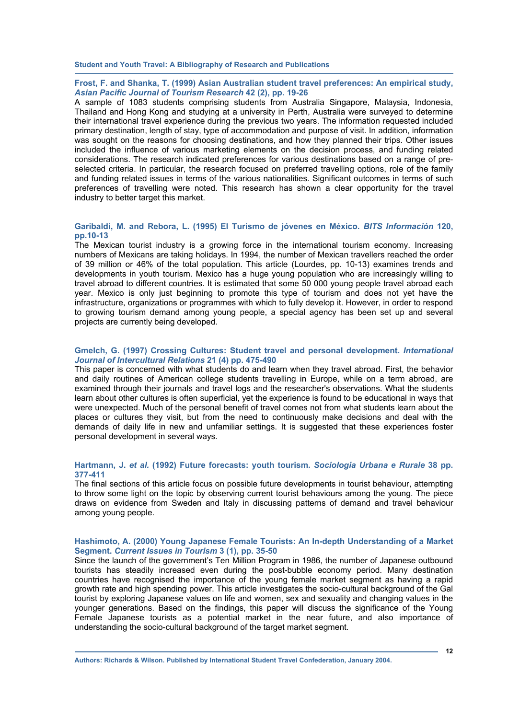#### **Frost, F. and Shanka, T. (1999) Asian Australian student travel preferences: An empirical study,**  *Asian Pacific Journal of Tourism Research* **42 (2), pp. 19-26**

A sample of 1083 students comprising students from Australia Singapore, Malaysia, Indonesia, Thailand and Hong Kong and studying at a university in Perth, Australia were surveyed to determine their international travel experience during the previous two years. The information requested included primary destination, length of stay, type of accommodation and purpose of visit. In addition, information was sought on the reasons for choosing destinations, and how they planned their trips. Other issues included the influence of various marketing elements on the decision process, and funding related considerations. The research indicated preferences for various destinations based on a range of preselected criteria. In particular, the research focused on preferred travelling options, role of the family and funding related issues in terms of the various nationalities. Significant outcomes in terms of such preferences of travelling were noted. This research has shown a clear opportunity for the travel industry to better target this market.

#### **Garibaldi, M. and Rebora, L. (1995) El Turismo de jóvenes en México.** *BITS Información* **120, pp.10-13**

The Mexican tourist industry is a growing force in the international tourism economy. Increasing numbers of Mexicans are taking holidays. In 1994, the number of Mexican travellers reached the order of 39 million or 46% of the total population. This article (Lourdes, pp. 10-13) examines trends and developments in youth tourism. Mexico has a huge young population who are increasingly willing to travel abroad to different countries. It is estimated that some 50 000 young people travel abroad each year. Mexico is only just beginning to promote this type of tourism and does not yet have the infrastructure, organizations or programmes with which to fully develop it. However, in order to respond to growing tourism demand among young people, a special agency has been set up and several projects are currently being developed.

#### **Gmelch, G. (1997) Crossing Cultures: Student travel and personal development.** *International Journal of Intercultural Relations* **21 (4) pp. 475-490**

This paper is concerned with what students do and learn when they travel abroad. First, the behavior and daily routines of American college students travelling in Europe, while on a term abroad, are examined through their journals and travel logs and the researcher's observations. What the students learn about other cultures is often superficial, yet the experience is found to be educational in ways that were unexpected. Much of the personal benefit of travel comes not from what students learn about the places or cultures they visit, but from the need to continuously make decisions and deal with the demands of daily life in new and unfamiliar settings. It is suggested that these experiences foster personal development in several ways.

#### **Hartmann, J.** *et al.* **(1992) Future forecasts: youth tourism***. Sociologia Urbana e Rurale* **38 pp. 377-411**

The final sections of this article focus on possible future developments in tourist behaviour, attempting to throw some light on the topic by observing current tourist behaviours among the young. The piece draws on evidence from Sweden and Italy in discussing patterns of demand and travel behaviour among young people.

#### **Hashimoto, A. (2000) Young Japanese Female Tourists: An In-depth Understanding of a Market Segment.** *Current Issues in Tourism* **3 (1), pp. 35-50**

Since the launch of the government's Ten Million Program in 1986, the number of Japanese outbound tourists has steadily increased even during the post-bubble economy period. Many destination countries have recognised the importance of the young female market segment as having a rapid growth rate and high spending power. This article investigates the socio-cultural background of the Gal tourist by exploring Japanese values on life and women, sex and sexuality and changing values in the younger generations. Based on the findings, this paper will discuss the significance of the Young Female Japanese tourists as a potential market in the near future, and also importance of understanding the socio-cultural background of the target market segment.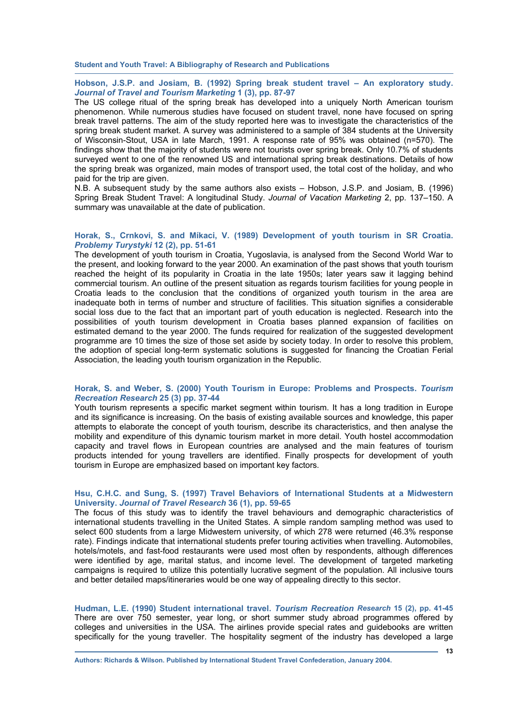#### **Hobson, J.S.P. and Josiam, B. (1992) Spring break student travel – An exploratory study.**  *Journal of Travel and Tourism Marketing* **1 (3), pp. 87-97**

The US college ritual of the spring break has developed into a uniquely North American tourism phenomenon. While numerous studies have focused on student travel, none have focused on spring break travel patterns. The aim of the study reported here was to investigate the characteristics of the spring break student market. A survey was administered to a sample of 384 students at the University of Wisconsin-Stout, USA in late March, 1991. A response rate of 95% was obtained (n=570). The findings show that the majority of students were not tourists over spring break. Only 10.7% of students surveyed went to one of the renowned US and international spring break destinations. Details of how the spring break was organized, main modes of transport used, the total cost of the holiday, and who paid for the trip are given.

N.B. A subsequent study by the same authors also exists – Hobson, J.S.P. and Josiam, B. (1996) Spring Break Student Travel: A longitudinal Study. *Journal of Vacation Marketing* 2, pp. 137–150. A summary was unavailable at the date of publication.

#### **Horak, S., Crnkovi, S. and Míkaci, V. (1989) Development of youth tourism in SR Croatia.**  *Problemy Turystyki* **12 (2), pp. 51-61**

The development of youth tourism in Croatia, Yugoslavia, is analysed from the Second World War to the present, and looking forward to the year 2000. An examination of the past shows that youth tourism reached the height of its popularity in Croatia in the late 1950s; later years saw it lagging behind commercial tourism. An outline of the present situation as regards tourism facilities for young people in Croatia leads to the conclusion that the conditions of organized youth tourism in the area are inadequate both in terms of number and structure of facilities. This situation signifies a considerable social loss due to the fact that an important part of youth education is neglected. Research into the possibilities of youth tourism development in Croatia bases planned expansion of facilities on estimated demand to the year 2000. The funds required for realization of the suggested development programme are 10 times the size of those set aside by society today. In order to resolve this problem, the adoption of special long-term systematic solutions is suggested for financing the Croatian Ferial Association, the leading youth tourism organization in the Republic.

#### **Horak, S. and Weber, S. (2000) Youth Tourism in Europe: Problems and Prospects.** *Tourism Recreation Research* **25 (3) pp. 37-44**

Youth tourism represents a specific market segment within tourism. It has a long tradition in Europe and its significance is increasing. On the basis of existing available sources and knowledge, this paper attempts to elaborate the concept of youth tourism, describe its characteristics, and then analyse the mobility and expenditure of this dynamic tourism market in more detail. Youth hostel accommodation capacity and travel flows in European countries are analysed and the main features of tourism products intended for young travellers are identified. Finally prospects for development of youth tourism in Europe are emphasized based on important key factors.

#### **Hsu, C.H.C. and Sung, S. (1997) Travel Behaviors of International Students at a Midwestern University.** *Journal of Travel Research* **36 (1), pp. 59-65**

The focus of this study was to identify the travel behaviours and demographic characteristics of international students travelling in the United States. A simple random sampling method was used to select 600 students from a large Midwestern university, of which 278 were returned (46.3% response rate). Findings indicate that international students prefer touring activities when travelling. Automobiles, hotels/motels, and fast-food restaurants were used most often by respondents, although differences were identified by age, marital status, and income level. The development of targeted marketing campaigns is required to utilize this potentially lucrative segment of the population. All inclusive tours and better detailed maps/itineraries would be one way of appealing directly to this sector.

#### **Hudman, L.E. (1990) Student international travel.** *Tourism Recreation Research* **15 (2), pp. 41-45**  There are over 750 semester, year long, or short summer study abroad programmes offered by colleges and universities in the USA. The airlines provide special rates and guidebooks are written specifically for the young traveller. The hospitality segment of the industry has developed a large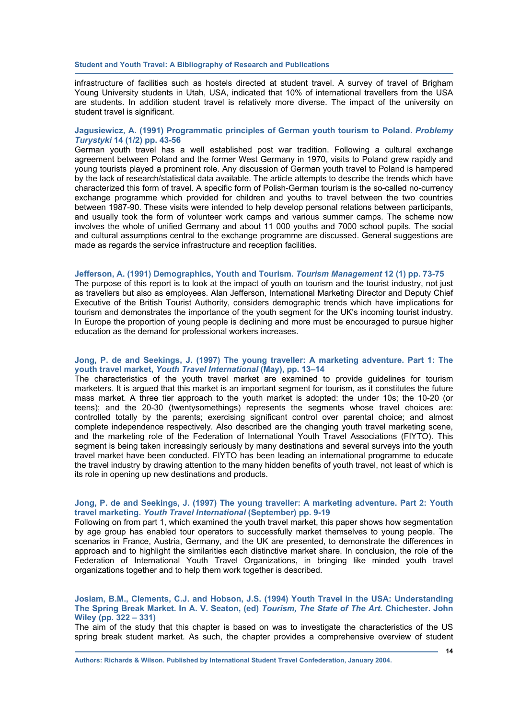infrastructure of facilities such as hostels directed at student travel. A survey of travel of Brigham Young University students in Utah, USA, indicated that 10% of international travellers from the USA are students. In addition student travel is relatively more diverse. The impact of the university on student travel is significant.

#### **Jagusiewicz, A. (1991) Programmatic principles of German youth tourism to Poland.** *Problemy Turystyki* **14 (1/2) pp. 43-56**

German youth travel has a well established post war tradition. Following a cultural exchange agreement between Poland and the former West Germany in 1970, visits to Poland grew rapidly and young tourists played a prominent role. Any discussion of German youth travel to Poland is hampered by the lack of research/statistical data available. The article attempts to describe the trends which have characterized this form of travel. A specific form of Polish-German tourism is the so-called no-currency exchange programme which provided for children and youths to travel between the two countries between 1987-90. These visits were intended to help develop personal relations between participants, and usually took the form of volunteer work camps and various summer camps. The scheme now involves the whole of unified Germany and about 11 000 youths and 7000 school pupils. The social and cultural assumptions central to the exchange programme are discussed. General suggestions are made as regards the service infrastructure and reception facilities.

#### **Jefferson, A. (1991) Demographics, Youth and Tourism.** *Tourism Management* **12 (1) pp. 73-75**

The purpose of this report is to look at the impact of youth on tourism and the tourist industry, not just as travellers but also as employees. Alan Jefferson, International Marketing Director and Deputy Chief Executive of the British Tourist Authority, considers demographic trends which have implications for tourism and demonstrates the importance of the youth segment for the UK's incoming tourist industry. In Europe the proportion of young people is declining and more must be encouraged to pursue higher education as the demand for professional workers increases.

#### **Jong, P. de and Seekings, J. (1997) The young traveller: A marketing adventure. Part 1: The youth travel market,** *Youth Travel International* **(May), pp. 13–14**

The characteristics of the youth travel market are examined to provide guidelines for tourism marketers. It is argued that this market is an important segment for tourism, as it constitutes the future mass market. A three tier approach to the youth market is adopted: the under 10s; the 10-20 (or teens); and the 20-30 (twentysomethings) represents the segments whose travel choices are: controlled totally by the parents; exercising significant control over parental choice; and almost complete independence respectively. Also described are the changing youth travel marketing scene, and the marketing role of the Federation of International Youth Travel Associations (FIYTO). This segment is being taken increasingly seriously by many destinations and several surveys into the youth travel market have been conducted. FIYTO has been leading an international programme to educate the travel industry by drawing attention to the many hidden benefits of youth travel, not least of which is its role in opening up new destinations and products.

#### **Jong, P. de and Seekings, J. (1997) The young traveller: A marketing adventure. Part 2: Youth travel marketing.** *Youth Travel International* **(September) pp. 9-19**

Following on from part 1, which examined the youth travel market, this paper shows how segmentation by age group has enabled tour operators to successfully market themselves to young people. The scenarios in France, Austria, Germany, and the UK are presented, to demonstrate the differences in approach and to highlight the similarities each distinctive market share. In conclusion, the role of the Federation of International Youth Travel Organizations, in bringing like minded youth travel organizations together and to help them work together is described.

#### **Josiam, B.M., Clements, C.J. and Hobson, J.S. (1994) Youth Travel in the USA: Understanding The Spring Break Market. In A. V. Seaton, (ed)** *Tourism, The State of The Art.* **Chichester. John Wiley (pp. 322 – 331)**

The aim of the study that this chapter is based on was to investigate the characteristics of the US spring break student market. As such, the chapter provides a comprehensive overview of student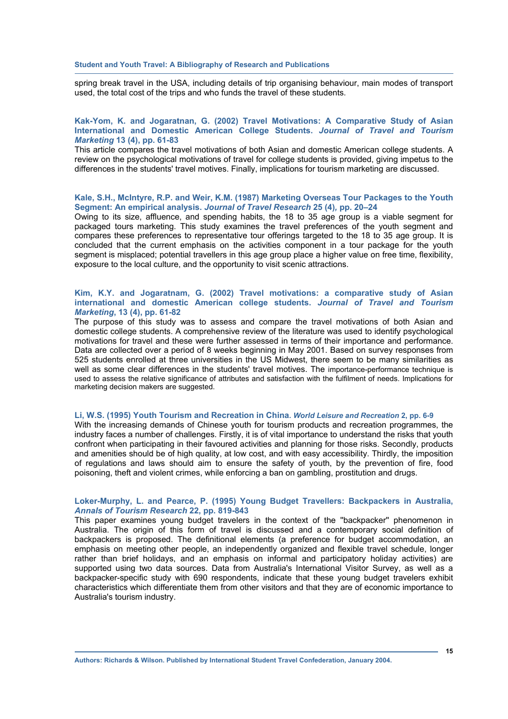spring break travel in the USA, including details of trip organising behaviour, main modes of transport used, the total cost of the trips and who funds the travel of these students.

#### **Kak-Yom, K. and Jogaratnan, G. (2002) Travel Motivations: A Comparative Study of Asian International and Domestic American College Students.** *Journal of Travel and Tourism Marketing* **13 (4), pp. 61-83**

This article compares the travel motivations of both Asian and domestic American college students. A review on the psychological motivations of travel for college students is provided, giving impetus to the differences in the students' travel motives. Finally, implications for tourism marketing are discussed.

#### **Kale, S.H., McIntyre, R.P. and Weir, K.M. (1987) Marketing Overseas Tour Packages to the Youth Segment: An empirical analysis.** *Journal of Travel Research* **25 (4)***,* **pp. 20–24**

Owing to its size, affluence, and spending habits, the 18 to 35 age group is a viable segment for packaged tours marketing. This study examines the travel preferences of the youth segment and compares these preferences to representative tour offerings targeted to the 18 to 35 age group. It is concluded that the current emphasis on the activities component in a tour package for the youth segment is misplaced; potential travellers in this age group place a higher value on free time, flexibility, exposure to the local culture, and the opportunity to visit scenic attractions.

#### **Kim, K.Y. and Jogaratnam, G. (2002) Travel motivations: a comparative study of Asian international and domestic American college students.** *Journal of Travel and Tourism Marketing***, 13 (4), pp. 61-82**

The purpose of this study was to assess and compare the travel motivations of both Asian and domestic college students. A comprehensive review of the literature was used to identify psychological motivations for travel and these were further assessed in terms of their importance and performance. Data are collected over a period of 8 weeks beginning in May 2001. Based on survey responses from 525 students enrolled at three universities in the US Midwest, there seem to be many similarities as well as some clear differences in the students' travel motives. The importance-performance technique is used to assess the relative significance of attributes and satisfaction with the fulfilment of needs. Implications for marketing decision makers are suggested.

#### **Li, W.S. (1995) Youth Tourism and Recreation in China.** *World Leisure and Recreation* **2, pp. 6-9**

With the increasing demands of Chinese youth for tourism products and recreation programmes, the industry faces a number of challenges. Firstly, it is of vital importance to understand the risks that youth confront when participating in their favoured activities and planning for those risks. Secondly, products and amenities should be of high quality, at low cost, and with easy accessibility. Thirdly, the imposition of regulations and laws should aim to ensure the safety of youth, by the prevention of fire, food poisoning, theft and violent crimes, while enforcing a ban on gambling, prostitution and drugs.

#### **Loker-Murphy, L. and Pearce, P. (1995) Young Budget Travellers: Backpackers in Australia,**  *Annals of Tourism Research* **22, pp. 819-843**

This paper examines young budget travelers in the context of the ''backpacker'' phenomenon in Australia. The origin of this form of travel is discussed and a contemporary social definition of backpackers is proposed. The definitional elements (a preference for budget accommodation, an emphasis on meeting other people, an independently organized and flexible travel schedule, longer rather than brief holidays, and an emphasis on informal and participatory holiday activities) are supported using two data sources. Data from Australia's International Visitor Survey, as well as a backpacker-specific study with 690 respondents, indicate that these young budget travelers exhibit characteristics which differentiate them from other visitors and that they are of economic importance to Australia's tourism industry.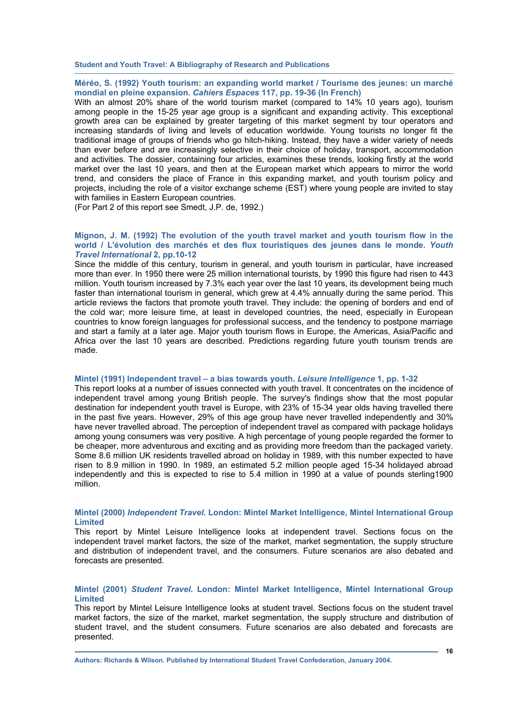**Méréo, S. (1992) Youth tourism: an expanding world market / Tourisme des jeunes: un marché mondial en pleine expansion.** *Cahiers Espaces* **117, pp. 19-36 (In French)** 

With an almost 20% share of the world tourism market (compared to 14% 10 years ago), tourism among people in the 15-25 year age group is a significant and expanding activity. This exceptional growth area can be explained by greater targeting of this market segment by tour operators and increasing standards of living and levels of education worldwide. Young tourists no longer fit the traditional image of groups of friends who go hitch-hiking. Instead, they have a wider variety of needs than ever before and are increasingly selective in their choice of holiday, transport, accommodation and activities. The dossier, containing four articles, examines these trends, looking firstly at the world market over the last 10 years, and then at the European market which appears to mirror the world trend, and considers the place of France in this expanding market, and youth tourism policy and projects, including the role of a visitor exchange scheme (EST) where young people are invited to stay with families in Eastern European countries.

(For Part 2 of this report see Smedt, J.P. de, 1992.)

#### **Mignon, J. M. (1992) The evolution of the youth travel market and youth tourism flow in the world / L'évolution des marchés et des flux touristiques des jeunes dans le monde.** *Youth Travel International* **2, pp.10-12**

Since the middle of this century, tourism in general, and youth tourism in particular, have increased more than ever. In 1950 there were 25 million international tourists, by 1990 this figure had risen to 443 million. Youth tourism increased by 7.3% each year over the last 10 years, its development being much faster than international tourism in general, which grew at 4.4% annually during the same period. This article reviews the factors that promote youth travel. They include: the opening of borders and end of the cold war; more leisure time, at least in developed countries, the need, especially in European countries to know foreign languages for professional success, and the tendency to postpone marriage and start a family at a later age. Major youth tourism flows in Europe, the Americas, Asia/Pacific and Africa over the last 10 years are described. Predictions regarding future youth tourism trends are made.

#### **Mintel (1991) Independent travel – a bias towards youth.** *Leisure Intelligence* **1, pp. 1-32**

This report looks at a number of issues connected with youth travel. It concentrates on the incidence of independent travel among young British people. The survey's findings show that the most popular destination for independent youth travel is Europe, with 23% of 15-34 year olds having travelled there in the past five years. However, 29% of this age group have never travelled independently and 30% have never travelled abroad. The perception of independent travel as compared with package holidays among young consumers was very positive. A high percentage of young people regarded the former to be cheaper, more adventurous and exciting and as providing more freedom than the packaged variety. Some 8.6 million UK residents travelled abroad on holiday in 1989, with this number expected to have risen to 8.9 million in 1990. In 1989, an estimated 5.2 million people aged 15-34 holidayed abroad independently and this is expected to rise to 5.4 million in 1990 at a value of pounds sterling1900 million.

#### **Mintel (2000)** *Independent Travel.* **London: Mintel Market Intelligence, Mintel International Group Limited**

This report by Mintel Leisure Intelligence looks at independent travel. Sections focus on the independent travel market factors, the size of the market, market segmentation, the supply structure and distribution of independent travel, and the consumers. Future scenarios are also debated and forecasts are presented.

#### **Mintel (2001)** *Student Travel.* **London: Mintel Market Intelligence, Mintel International Group Limited**

This report by Mintel Leisure Intelligence looks at student travel. Sections focus on the student travel market factors, the size of the market, market segmentation, the supply structure and distribution of student travel, and the student consumers. Future scenarios are also debated and forecasts are presented.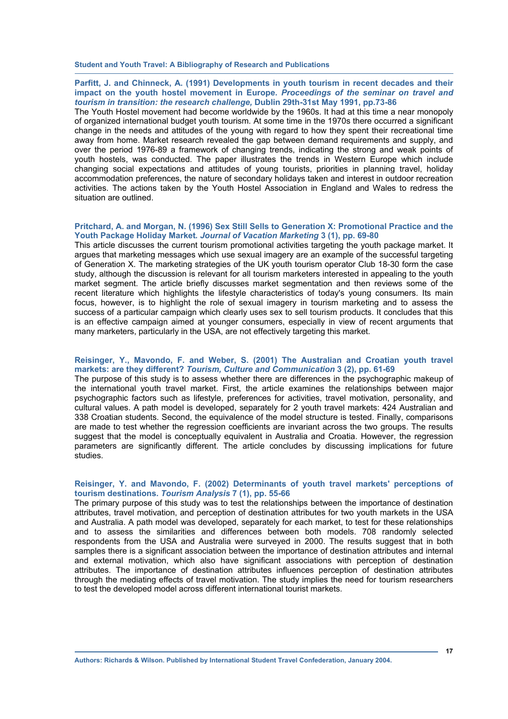#### **Parfitt, J. and Chinneck, A. (1991) Developments in youth tourism in recent decades and their impact on the youth hostel movement in Europe.** *Proceedings of the seminar on travel and tourism in transition: the research challenge,* **Dublin 29th-31st May 1991, pp.73-86**

The Youth Hostel movement had become worldwide by the 1960s. It had at this time a near monopoly of organized international budget youth tourism. At some time in the 1970s there occurred a significant change in the needs and attitudes of the young with regard to how they spent their recreational time away from home. Market research revealed the gap between demand requirements and supply, and over the period 1976-89 a framework of changing trends, indicating the strong and weak points of youth hostels, was conducted. The paper illustrates the trends in Western Europe which include changing social expectations and attitudes of young tourists, priorities in planning travel, holiday accommodation preferences, the nature of secondary holidays taken and interest in outdoor recreation activities. The actions taken by the Youth Hostel Association in England and Wales to redress the situation are outlined.

#### **Pritchard, A. and Morgan, N. (1996) Sex Still Sells to Generation X: Promotional Practice and the Youth Package Holiday Market***. Journal of Vacation Marketing* **3 (1), pp. 69-80**

This article discusses the current tourism promotional activities targeting the youth package market. It argues that marketing messages which use sexual imagery are an example of the successful targeting of Generation X. The marketing strategies of the UK youth tourism operator Club 18-30 form the case study, although the discussion is relevant for all tourism marketers interested in appealing to the youth market segment. The article briefly discusses market segmentation and then reviews some of the recent literature which highlights the lifestyle characteristics of today's young consumers. Its main focus, however, is to highlight the role of sexual imagery in tourism marketing and to assess the success of a particular campaign which clearly uses sex to sell tourism products. It concludes that this is an effective campaign aimed at younger consumers, especially in view of recent arguments that many marketers, particularly in the USA, are not effectively targeting this market.

#### **Reisinger, Y., Mavondo, F. and Weber, S. (2001) The Australian and Croatian youth travel markets: are they different?** *Tourism, Culture and Communication* **3 (2), pp. 61-69**

The purpose of this study is to assess whether there are differences in the psychographic makeup of the international youth travel market. First, the article examines the relationships between major psychographic factors such as lifestyle, preferences for activities, travel motivation, personality, and cultural values. A path model is developed, separately for 2 youth travel markets: 424 Australian and 338 Croatian students. Second, the equivalence of the model structure is tested. Finally, comparisons are made to test whether the regression coefficients are invariant across the two groups. The results suggest that the model is conceptually equivalent in Australia and Croatia. However, the regression parameters are significantly different. The article concludes by discussing implications for future studies.

#### **Reisinger, Y. and Mavondo, F. (2002) Determinants of youth travel markets' perceptions of tourism destinations.** *Tourism Analysis* **7 (1), pp. 55-66**

The primary purpose of this study was to test the relationships between the importance of destination attributes, travel motivation, and perception of destination attributes for two youth markets in the USA and Australia. A path model was developed, separately for each market, to test for these relationships and to assess the similarities and differences between both models. 708 randomly selected respondents from the USA and Australia were surveyed in 2000. The results suggest that in both samples there is a significant association between the importance of destination attributes and internal and external motivation, which also have significant associations with perception of destination attributes. The importance of destination attributes influences perception of destination attributes through the mediating effects of travel motivation. The study implies the need for tourism researchers to test the developed model across different international tourist markets.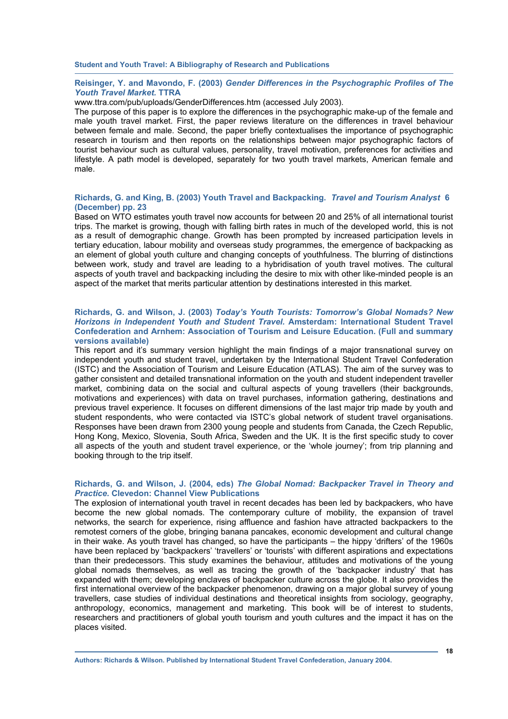#### **Reisinger, Y. and Mavondo, F. (2003)** *Gender Differences in the Psychographic Profiles of The Youth Travel Market.* **TTRA**

www.ttra.com/pub/uploads/GenderDifferences.htm (accessed July 2003).

The purpose of this paper is to explore the differences in the psychographic make-up of the female and male youth travel market. First, the paper reviews literature on the differences in travel behaviour between female and male. Second, the paper briefly contextualises the importance of psychographic research in tourism and then reports on the relationships between major psychographic factors of tourist behaviour such as cultural values, personality, travel motivation, preferences for activities and lifestyle. A path model is developed, separately for two youth travel markets, American female and male.

#### **Richards, G. and King, B. (2003) Youth Travel and Backpacking.** *Travel and Tourism Analyst* **6 (December) pp. 23**

Based on WTO estimates youth travel now accounts for between 20 and 25% of all international tourist trips. The market is growing, though with falling birth rates in much of the developed world, this is not as a result of demographic change. Growth has been prompted by increased participation levels in tertiary education, labour mobility and overseas study programmes, the emergence of backpacking as an element of global youth culture and changing concepts of youthfulness. The blurring of distinctions between work, study and travel are leading to a hybridisation of youth travel motives. The cultural aspects of youth travel and backpacking including the desire to mix with other like-minded people is an aspect of the market that merits particular attention by destinations interested in this market.

#### **Richards, G. and Wilson, J. (2003)** *Today's Youth Tourists: Tomorrow's Global Nomads? New Horizons in Independent Youth and Student Travel.* **Amsterdam: International Student Travel Confederation and Arnhem: Association of Tourism and Leisure Education. (Full and summary versions available)**

This report and it's summary version highlight the main findings of a major transnational survey on independent youth and student travel, undertaken by the International Student Travel Confederation (ISTC) and the Association of Tourism and Leisure Education (ATLAS). The aim of the survey was to gather consistent and detailed transnational information on the youth and student independent traveller market, combining data on the social and cultural aspects of young travellers (their backgrounds, motivations and experiences) with data on travel purchases, information gathering, destinations and previous travel experience. It focuses on different dimensions of the last major trip made by youth and student respondents, who were contacted via ISTC's global network of student travel organisations. Responses have been drawn from 2300 young people and students from Canada, the Czech Republic, Hong Kong, Mexico, Slovenia, South Africa, Sweden and the UK. It is the first specific study to cover all aspects of the youth and student travel experience, or the 'whole journey'; from trip planning and booking through to the trip itself.

#### **Richards, G. and Wilson, J. (2004, eds)** *The Global Nomad: Backpacker Travel in Theory and Practice.* **Clevedon: Channel View Publications**

The explosion of international youth travel in recent decades has been led by backpackers, who have become the new global nomads. The contemporary culture of mobility, the expansion of travel networks, the search for experience, rising affluence and fashion have attracted backpackers to the remotest corners of the globe, bringing banana pancakes, economic development and cultural change in their wake. As youth travel has changed, so have the participants – the hippy 'drifters' of the 1960s have been replaced by 'backpackers' 'travellers' or 'tourists' with different aspirations and expectations than their predecessors. This study examines the behaviour, attitudes and motivations of the young global nomads themselves, as well as tracing the growth of the 'backpacker industry' that has expanded with them; developing enclaves of backpacker culture across the globe. It also provides the first international overview of the backpacker phenomenon, drawing on a major global survey of young travellers, case studies of individual destinations and theoretical insights from sociology, geography, anthropology, economics, management and marketing. This book will be of interest to students, researchers and practitioners of global youth tourism and youth cultures and the impact it has on the places visited.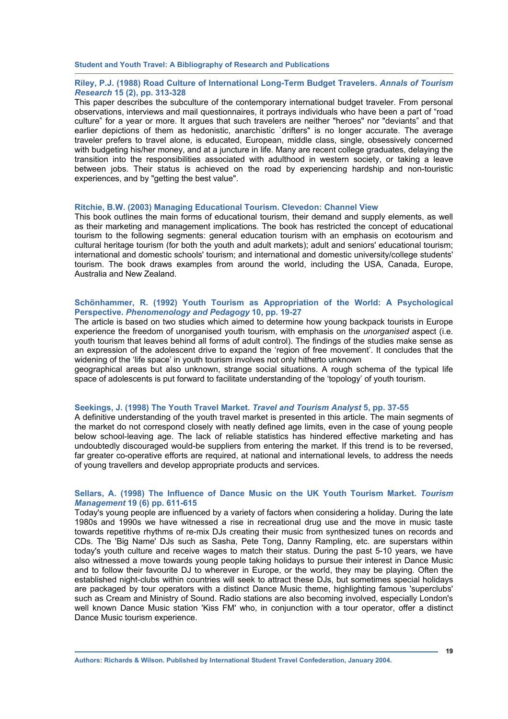#### **Riley, P.J. (1988) Road Culture of International Long-Term Budget Travelers.** *Annals of Tourism Research* **15 (2), pp. 313-328**

This paper describes the subculture of the contemporary international budget traveler. From personal observations, interviews and mail questionnaires, it portrays individuals who have been a part of "road culture" for a year or more. It argues that such travelers are neither "heroes" nor "deviants" and that earlier depictions of them as hedonistic, anarchistic 'drifters" is no longer accurate. The average traveler prefers to travel alone, is educated, European, middle class, single, obsessively concerned with budgeting his/her money, and at a juncture in life. Many are recent college graduates, delaying the transition into the responsibilities associated with adulthood in western society, or taking a leave between jobs. Their status is achieved on the road by experiencing hardship and non-touristic experiences, and by "getting the best value".

#### **Ritchie, B.W. (2003) Managing Educational Tourism. Clevedon: Channel View**

This book outlines the main forms of educational tourism, their demand and supply elements, as well as their marketing and management implications. The book has restricted the concept of educational tourism to the following segments: general education tourism with an emphasis on ecotourism and cultural heritage tourism (for both the youth and adult markets); adult and seniors' educational tourism; international and domestic schools' tourism; and international and domestic university/college students' tourism. The book draws examples from around the world, including the USA, Canada, Europe, Australia and New Zealand.

#### **Schönhammer, R. (1992) Youth Tourism as Appropriation of the World: A Psychological Perspective.** *Phenomenology and Pedagogy* **10, pp. 19-27**

The article is based on two studies which aimed to determine how young backpack tourists in Europe experience the freedom of unorganised youth tourism, with emphasis on the *unorganised* aspect (i.e. youth tourism that leaves behind all forms of adult control). The findings of the studies make sense as an expression of the adolescent drive to expand the 'region of free movement'. It concludes that the widening of the 'life space' in youth tourism involves not only hitherto unknown

geographical areas but also unknown, strange social situations. A rough schema of the typical life space of adolescents is put forward to facilitate understanding of the 'topology' of youth tourism.

#### **Seekings, J. (1998) The Youth Travel Market.** *Travel and Tourism Analyst* **5, pp. 37-55**

A definitive understanding of the youth travel market is presented in this article. The main segments of the market do not correspond closely with neatly defined age limits, even in the case of young people below school-leaving age. The lack of reliable statistics has hindered effective marketing and has undoubtedly discouraged would-be suppliers from entering the market. If this trend is to be reversed, far greater co-operative efforts are required, at national and international levels, to address the needs of young travellers and develop appropriate products and services.

#### **Sellars, A. (1998) The Influence of Dance Music on the UK Youth Tourism Market.** *Tourism Management* **19 (6) pp. 611-615**

Today's young people are influenced by a variety of factors when considering a holiday. During the late 1980s and 1990s we have witnessed a rise in recreational drug use and the move in music taste towards repetitive rhythms of re-mix DJs creating their music from synthesized tunes on records and CDs. The 'Big Name' DJs such as Sasha, Pete Tong, Danny Rampling, etc. are superstars within today's youth culture and receive wages to match their status. During the past 5-10 years, we have also witnessed a move towards young people taking holidays to pursue their interest in Dance Music and to follow their favourite DJ to wherever in Europe, or the world, they may be playing. Often the established night-clubs within countries will seek to attract these DJs, but sometimes special holidays are packaged by tour operators with a distinct Dance Music theme, highlighting famous 'superclubs' such as Cream and Ministry of Sound. Radio stations are also becoming involved, especially London's well known Dance Music station 'Kiss FM' who, in conjunction with a tour operator, offer a distinct Dance Music tourism experience.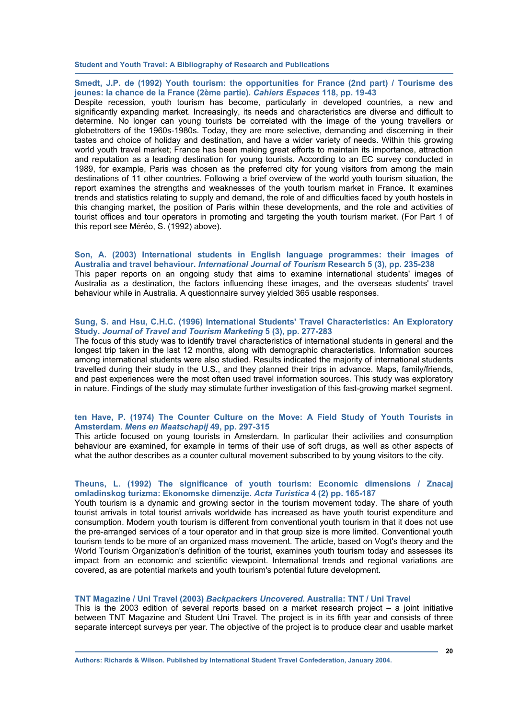**Smedt, J.P. de (1992) Youth tourism: the opportunities for France (2nd part) / Tourisme des jeunes: la chance de la France (2ème partie).** *Cahiers Espaces* **118, pp. 19-43** 

Despite recession, youth tourism has become, particularly in developed countries, a new and significantly expanding market. Increasingly, its needs and characteristics are diverse and difficult to determine. No longer can young tourists be correlated with the image of the young travellers or globetrotters of the 1960s-1980s. Today, they are more selective, demanding and discerning in their tastes and choice of holiday and destination, and have a wider variety of needs. Within this growing world youth travel market; France has been making great efforts to maintain its importance, attraction and reputation as a leading destination for young tourists. According to an EC survey conducted in 1989, for example, Paris was chosen as the preferred city for young visitors from among the main destinations of 11 other countries. Following a brief overview of the world youth tourism situation, the report examines the strengths and weaknesses of the youth tourism market in France. It examines trends and statistics relating to supply and demand, the role of and difficulties faced by youth hostels in this changing market, the position of Paris within these developments, and the role and activities of tourist offices and tour operators in promoting and targeting the youth tourism market. (For Part 1 of this report see Méréo, S. (1992) above).

**Son, A. (2003) International students in English language programmes: their images of Australia and travel behaviour.** *International Journal of Tourism* **Research 5 (3), pp. 235-238**  This paper reports on an ongoing study that aims to examine international students' images of Australia as a destination, the factors influencing these images, and the overseas students' travel behaviour while in Australia. A questionnaire survey yielded 365 usable responses.

#### **Sung, S. and Hsu, C.H.C. (1996) International Students' Travel Characteristics: An Exploratory Study.** *Journal of Travel and Tourism Marketing* **5 (3), pp. 277-283**

The focus of this study was to identify travel characteristics of international students in general and the longest trip taken in the last 12 months, along with demographic characteristics. Information sources among international students were also studied. Results indicated the majority of international students travelled during their study in the U.S., and they planned their trips in advance. Maps, family/friends, and past experiences were the most often used travel information sources. This study was exploratory in nature. Findings of the study may stimulate further investigation of this fast-growing market segment.

#### **ten Have, P. (1974) The Counter Culture on the Move: A Field Study of Youth Tourists in Amsterdam.** *Mens en Maatschapij* **49, pp. 297-315**

This article focused on young tourists in Amsterdam. In particular their activities and consumption behaviour are examined, for example in terms of their use of soft drugs, as well as other aspects of what the author describes as a counter cultural movement subscribed to by young visitors to the city.

#### **Theuns, L. (1992) The significance of youth tourism: Economic dimensions / Znacaj omladinskog turizma: Ekonomske dimenzije.** *Acta Turistica* **4 (2) pp. 165-187**

Youth tourism is a dynamic and growing sector in the tourism movement today. The share of youth tourist arrivals in total tourist arrivals worldwide has increased as have youth tourist expenditure and consumption. Modern youth tourism is different from conventional youth tourism in that it does not use the pre-arranged services of a tour operator and in that group size is more limited. Conventional youth tourism tends to be more of an organized mass movement. The article, based on Vogt's theory and the World Tourism Organization's definition of the tourist, examines youth tourism today and assesses its impact from an economic and scientific viewpoint. International trends and regional variations are covered, as are potential markets and youth tourism's potential future development.

#### **TNT Magazine / Uni Travel (2003)** *Backpackers Uncovered***. Australia: TNT / Uni Travel**

This is the 2003 edition of several reports based on a market research project  $-$  a joint initiative between TNT Magazine and Student Uni Travel. The project is in its fifth year and consists of three separate intercept surveys per year. The objective of the project is to produce clear and usable market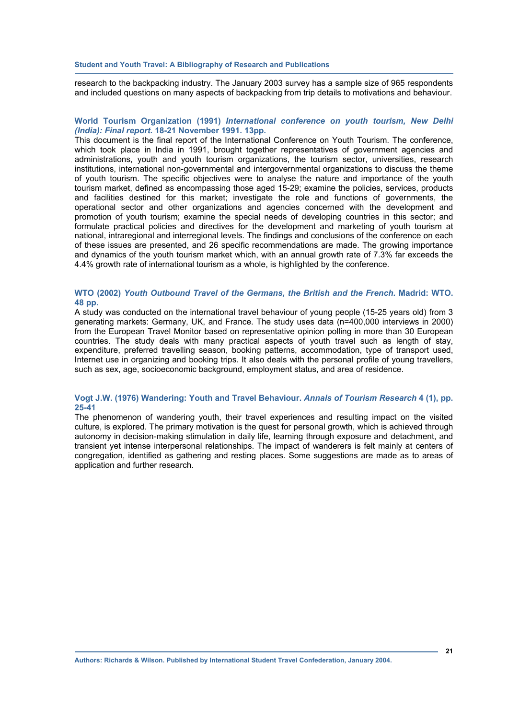research to the backpacking industry. The January 2003 survey has a sample size of 965 respondents and included questions on many aspects of backpacking from trip details to motivations and behaviour.

#### **World Tourism Organization (1991)** *International conference on youth tourism, New Delhi (India): Final report***. 18-21 November 1991. 13pp.**

This document is the final report of the International Conference on Youth Tourism. The conference, which took place in India in 1991, brought together representatives of government agencies and administrations, youth and youth tourism organizations, the tourism sector, universities, research institutions, international non-governmental and intergovernmental organizations to discuss the theme of youth tourism. The specific objectives were to analyse the nature and importance of the youth tourism market, defined as encompassing those aged 15-29; examine the policies, services, products and facilities destined for this market; investigate the role and functions of governments, the operational sector and other organizations and agencies concerned with the development and promotion of youth tourism; examine the special needs of developing countries in this sector; and formulate practical policies and directives for the development and marketing of youth tourism at national, intraregional and interregional levels. The findings and conclusions of the conference on each of these issues are presented, and 26 specific recommendations are made. The growing importance and dynamics of the youth tourism market which, with an annual growth rate of 7.3% far exceeds the 4.4% growth rate of international tourism as a whole, is highlighted by the conference.

#### **WTO (2002)** *Youth Outbound Travel of the Germans, the British and the French.* **Madrid: WTO. 48 pp.**

A study was conducted on the international travel behaviour of young people (15-25 years old) from 3 generating markets: Germany, UK, and France. The study uses data (n=400,000 interviews in 2000) from the European Travel Monitor based on representative opinion polling in more than 30 European countries. The study deals with many practical aspects of youth travel such as length of stay, expenditure, preferred travelling season, booking patterns, accommodation, type of transport used, Internet use in organizing and booking trips. It also deals with the personal profile of young travellers, such as sex, age, socioeconomic background, employment status, and area of residence.

#### **Vogt J.W. (1976) Wandering: Youth and Travel Behaviour.** *Annals of Tourism Research* **4 (1), pp. 25-41**

The phenomenon of wandering youth, their travel experiences and resulting impact on the visited culture, is explored. The primary motivation is the quest for personal growth, which is achieved through autonomy in decision-making stimulation in daily life, learning through exposure and detachment, and transient yet intense interpersonal relationships. The impact of wanderers is felt mainly at centers of congregation, identified as gathering and resting places. Some suggestions are made as to areas of application and further research.